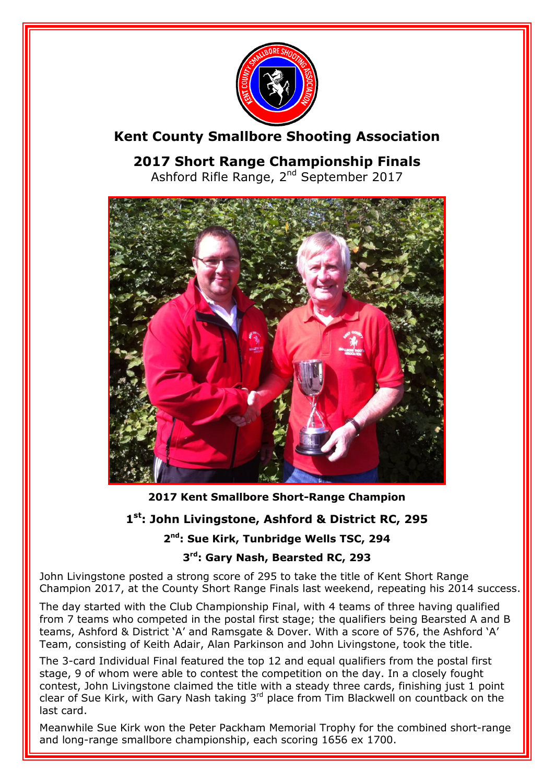

## **Kent County Smallbore Shooting Association**

**2017 Short Range Championship Finals** Ashford Rifle Range, 2<sup>nd</sup> September 2017



**2017 Kent Smallbore Short-Range Champion**

### **1 st: John Livingstone, Ashford & District RC, 295**

#### **2 nd: Sue Kirk, Tunbridge Wells TSC, 294**

#### **3 rd: Gary Nash, Bearsted RC, 293**

John Livingstone posted a strong score of 295 to take the title of Kent Short Range Champion 2017, at the County Short Range Finals last weekend, repeating his 2014 success.

The day started with the Club Championship Final, with 4 teams of three having qualified from 7 teams who competed in the postal first stage; the qualifiers being Bearsted A and B teams, Ashford & District 'A' and Ramsgate & Dover. With a score of 576, the Ashford 'A' Team, consisting of Keith Adair, Alan Parkinson and John Livingstone, took the title.

The 3-card Individual Final featured the top 12 and equal qualifiers from the postal first stage, 9 of whom were able to contest the competition on the day. In a closely fought contest, John Livingstone claimed the title with a steady three cards, finishing just 1 point clear of Sue Kirk, with Gary Nash taking  $3^{rd}$  place from Tim Blackwell on countback on the last card.

Meanwhile Sue Kirk won the Peter Packham Memorial Trophy for the combined short-range and long-range smallbore championship, each scoring 1656 ex 1700.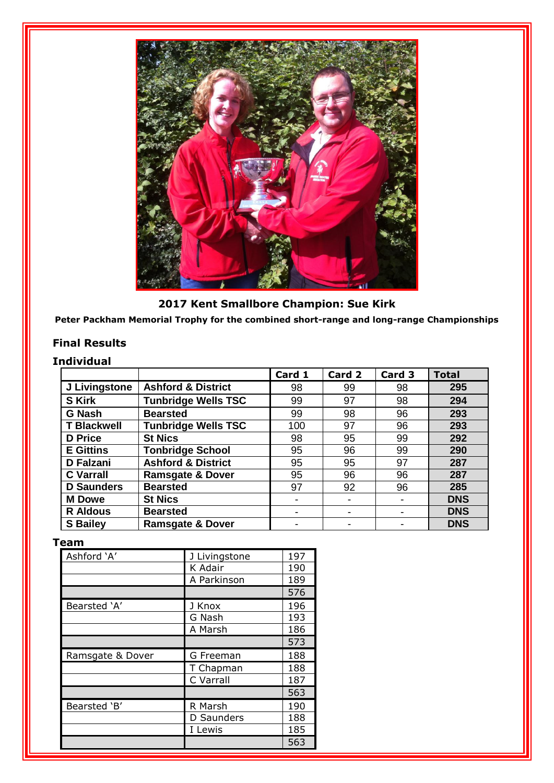

**2017 Kent Smallbore Champion: Sue Kirk**

**Peter Packham Memorial Trophy for the combined short-range and long-range Championships**

#### **Final Results**

#### **Individual**

|                    |                               | Card 1 | Card 2 | Card 3 | <b>Total</b> |
|--------------------|-------------------------------|--------|--------|--------|--------------|
| J Livingstone      | <b>Ashford &amp; District</b> | 98     | 99     | 98     | 295          |
| <b>S</b> Kirk      | <b>Tunbridge Wells TSC</b>    | 99     | 97     | 98     | 294          |
| <b>G Nash</b>      | <b>Bearsted</b>               | 99     | 98     | 96     | 293          |
| <b>T Blackwell</b> | <b>Tunbridge Wells TSC</b>    | 100    | 97     | 96     | 293          |
| <b>D</b> Price     | <b>St Nics</b>                | 98     | 95     | 99     | 292          |
| <b>E</b> Gittins   | <b>Tonbridge School</b>       | 95     | 96     | 99     | 290          |
| <b>D</b> Falzani   | <b>Ashford &amp; District</b> | 95     | 95     | 97     | 287          |
| <b>C</b> Varrall   | <b>Ramsgate &amp; Dover</b>   | 95     | 96     | 96     | 287          |
| <b>D</b> Saunders  | <b>Bearsted</b>               | 97     | 92     | 96     | 285          |
| <b>M</b> Dowe      | <b>St Nics</b>                |        |        |        | <b>DNS</b>   |
| <b>R</b> Aldous    | <b>Bearsted</b>               | -      |        |        | <b>DNS</b>   |
| <b>S</b> Bailey    | <b>Ramsgate &amp; Dover</b>   |        |        |        | <b>DNS</b>   |

#### **Team**

| Ashford 'A'      | J Livingstone | 197 |
|------------------|---------------|-----|
|                  | K Adair       | 190 |
|                  | A Parkinson   | 189 |
|                  |               | 576 |
| Bearsted 'A'     | J Knox        | 196 |
|                  | G Nash        | 193 |
|                  | A Marsh       | 186 |
|                  |               | 573 |
| Ramsgate & Dover | G Freeman     | 188 |
|                  | T Chapman     | 188 |
|                  | C Varrall     | 187 |
|                  |               | 563 |
| Bearsted 'B'     | R Marsh       | 190 |
|                  | D Saunders    | 188 |
|                  | I Lewis       | 185 |
|                  |               | 563 |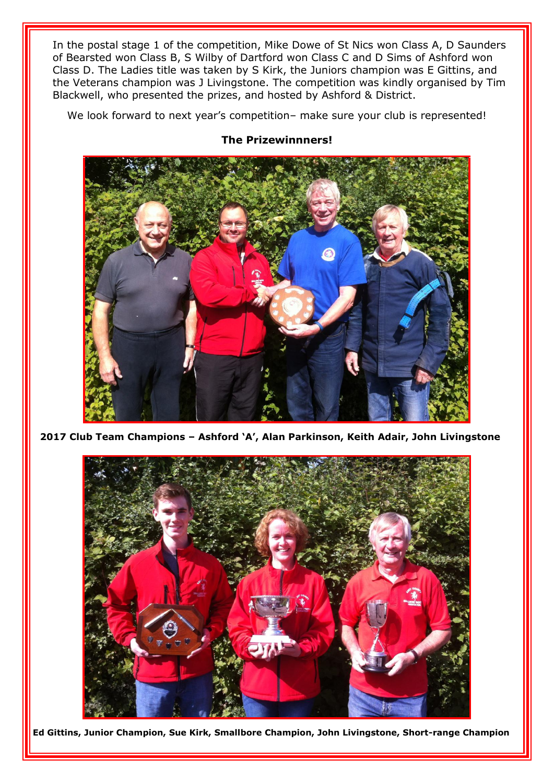In the postal stage 1 of the competition, Mike Dowe of St Nics won Class A, D Saunders of Bearsted won Class B, S Wilby of Dartford won Class C and D Sims of Ashford won Class D. The Ladies title was taken by S Kirk, the Juniors champion was E Gittins, and the Veterans champion was J Livingstone. The competition was kindly organised by Tim Blackwell, who presented the prizes, and hosted by Ashford & District.

We look forward to next year's competition– make sure your club is represented!



#### **The Prizewinnners!**

**2017 Club Team Champions – Ashford 'A', Alan Parkinson, Keith Adair, John Livingstone**



**Ed Gittins, Junior Champion, Sue Kirk, Smallbore Champion, John Livingstone, Short-range Champion**